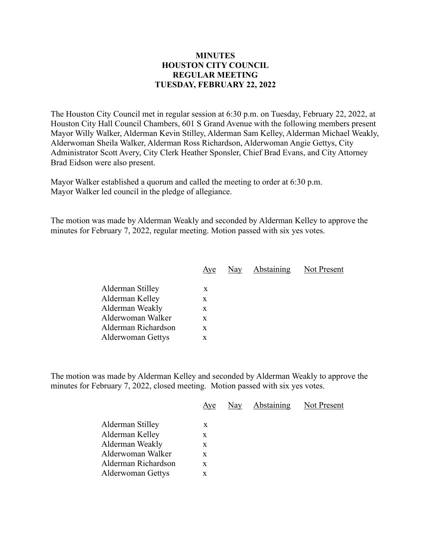## **MINUTES HOUSTON CITY COUNCIL REGULAR MEETING TUESDAY, FEBRUARY 22, 2022**

The Houston City Council met in regular session at 6:30 p.m. on Tuesday, February 22, 2022, at Houston City Hall Council Chambers, 601 S Grand Avenue with the following members present Mayor Willy Walker, Alderman Kevin Stilley, Alderman Sam Kelley, Alderman Michael Weakly, Alderwoman Sheila Walker, Alderman Ross Richardson, Alderwoman Angie Gettys, City Administrator Scott Avery, City Clerk Heather Sponsler, Chief Brad Evans, and City Attorney Brad Eidson were also present.

Mayor Walker established a quorum and called the meeting to order at 6:30 p.m. Mayor Walker led council in the pledge of allegiance.

The motion was made by Alderman Weakly and seconded by Alderman Kelley to approve the minutes for February 7, 2022, regular meeting. Motion passed with six yes votes.

| Aye | Nay | Not Present |
|-----|-----|-------------|
|     |     |             |
| X   |     |             |
| X   |     |             |
| x   |     |             |
| X   |     |             |
| X   |     |             |
| x   |     |             |
|     |     | Abstaining  |

The motion was made by Alderman Kelley and seconded by Alderman Weakly to approve the minutes for February 7, 2022, closed meeting. Motion passed with six yes votes.

|                     | Aye | Nay | Abstaining | Not Present |
|---------------------|-----|-----|------------|-------------|
| Alderman Stilley    | X   |     |            |             |
| Alderman Kelley     | X   |     |            |             |
| Alderman Weakly     | X   |     |            |             |
| Alderwoman Walker   | X   |     |            |             |
| Alderman Richardson | X   |     |            |             |
| Alderwoman Gettys   | X   |     |            |             |
|                     |     |     |            |             |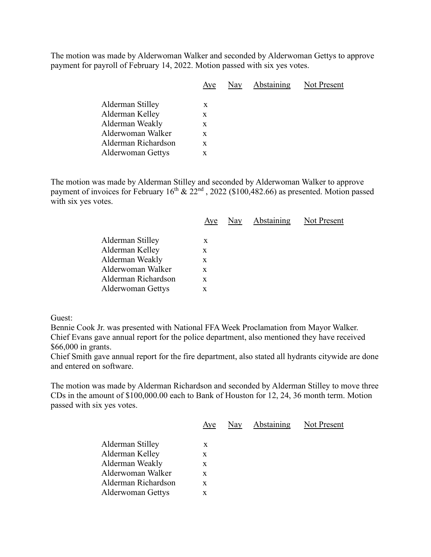The motion was made by Alderwoman Walker and seconded by Alderwoman Gettys to approve payment for payroll of February 14, 2022. Motion passed with six yes votes.

|                     | Aye | Nay | Abstaining | Not Present |
|---------------------|-----|-----|------------|-------------|
| Alderman Stilley    | X   |     |            |             |
| Alderman Kelley     | X   |     |            |             |
| Alderman Weakly     | X   |     |            |             |
| Alderwoman Walker   | X   |     |            |             |
| Alderman Richardson | X   |     |            |             |
| Alderwoman Gettys   | X   |     |            |             |
|                     |     |     |            |             |

The motion was made by Alderman Stilley and seconded by Alderwoman Walker to approve payment of invoices for February  $16^{th}$  &  $22^{nd}$ ,  $2022$  (\$100,482.66) as presented. Motion passed with six yes votes.

|                          | Aye |  | Nay Abstaining Not Present |
|--------------------------|-----|--|----------------------------|
| Alderman Stilley         | X   |  |                            |
|                          |     |  |                            |
| Alderman Kelley          | X   |  |                            |
| Alderman Weakly          | X   |  |                            |
| Alderwoman Walker        | X   |  |                            |
| Alderman Richardson      | X   |  |                            |
| <b>Alderwoman Gettys</b> | X   |  |                            |
|                          |     |  |                            |

Guest:

Bennie Cook Jr. was presented with National FFA Week Proclamation from Mayor Walker. Chief Evans gave annual report for the police department, also mentioned they have received \$66,000 in grants.

Chief Smith gave annual report for the fire department, also stated all hydrants citywide are done and entered on software.

The motion was made by Alderman Richardson and seconded by Alderman Stilley to move three CDs in the amount of \$100,000.00 each to Bank of Houston for 12, 24, 36 month term. Motion passed with six yes votes.

|                          | Aye | Nay | Abstaining | Not Present |
|--------------------------|-----|-----|------------|-------------|
| Alderman Stilley         | X   |     |            |             |
| Alderman Kelley          | X   |     |            |             |
| Alderman Weakly          | X   |     |            |             |
| Alderwoman Walker        | X   |     |            |             |
| Alderman Richardson      | X   |     |            |             |
| <b>Alderwoman Gettys</b> | x   |     |            |             |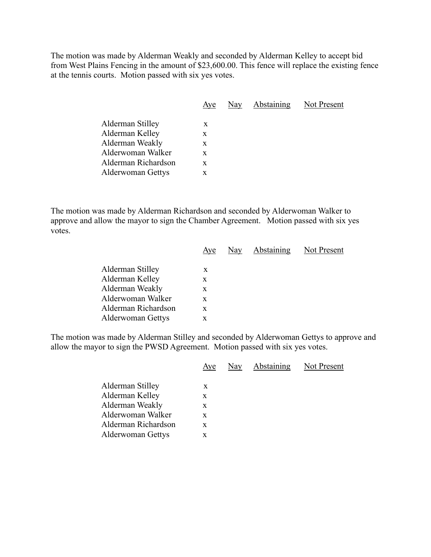The motion was made by Alderman Weakly and seconded by Alderman Kelley to accept bid from West Plains Fencing in the amount of \$23,600.00. This fence will replace the existing fence at the tennis courts. Motion passed with six yes votes.

|                          | Aye | Nay | Abstaining | Not Present |
|--------------------------|-----|-----|------------|-------------|
| Alderman Stilley         | X   |     |            |             |
| Alderman Kelley          | X   |     |            |             |
| Alderman Weakly          | X   |     |            |             |
| Alderwoman Walker        | X   |     |            |             |
| Alderman Richardson      | X   |     |            |             |
| <b>Alderwoman Gettys</b> | X   |     |            |             |
|                          |     |     |            |             |

The motion was made by Alderman Richardson and seconded by Alderwoman Walker to approve and allow the mayor to sign the Chamber Agreement. Motion passed with six yes votes.

|                          | Aye | Nay Abstaining | <b>Not Present</b> |
|--------------------------|-----|----------------|--------------------|
|                          |     |                |                    |
| Alderman Stilley         | X   |                |                    |
| Alderman Kelley          | X   |                |                    |
| Alderman Weakly          | X   |                |                    |
| Alderwoman Walker        | X   |                |                    |
| Alderman Richardson      | X   |                |                    |
| <b>Alderwoman Gettys</b> | x   |                |                    |

The motion was made by Alderman Stilley and seconded by Alderwoman Gettys to approve and allow the mayor to sign the PWSD Agreement. Motion passed with six yes votes.

|                          | Aye | Nay | <b>Abstaining</b> | Not Present |
|--------------------------|-----|-----|-------------------|-------------|
| Alderman Stilley         | X   |     |                   |             |
| Alderman Kelley          | X   |     |                   |             |
| Alderman Weakly          | X   |     |                   |             |
| Alderwoman Walker        | X   |     |                   |             |
| Alderman Richardson      | X   |     |                   |             |
| <b>Alderwoman Gettys</b> | X   |     |                   |             |
|                          |     |     |                   |             |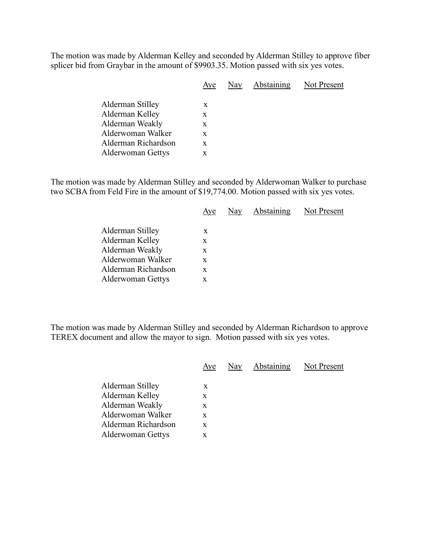The motion was made by Alderman Kelley and seconded by Alderman Stilley to approve fiber splicer bid from Graybar in the amount of \$9903.35. Motion passed with six yes votes.

|                          | Aye | Nay | Abstaining | Not Present |
|--------------------------|-----|-----|------------|-------------|
| Alderman Stilley         | X   |     |            |             |
| Alderman Kelley          | X   |     |            |             |
| Alderman Weakly          | X   |     |            |             |
| Alderwoman Walker        | X   |     |            |             |
| Alderman Richardson      | X   |     |            |             |
| <b>Alderwoman Gettys</b> | X   |     |            |             |
|                          |     |     |            |             |

The motion was made by Alderman Stilley and seconded by Alderwoman Walker to purchase two SCBA from Feld Fire in the amount of \$19,774.00. Motion passed with six yes votes.

|                          | Aye | Nay | <b>Abstaining</b> | Not Present |
|--------------------------|-----|-----|-------------------|-------------|
|                          |     |     |                   |             |
| Alderman Kelley          | X   |     |                   |             |
| Alderman Weakly          | X   |     |                   |             |
| Alderwoman Walker        | X   |     |                   |             |
| Alderman Richardson      | X   |     |                   |             |
| <b>Alderwoman Gettys</b> | x   |     |                   |             |
| Alderman Stilley         | X   |     |                   |             |

The motion was made by Alderman Stilley and seconded by Alderman Richardson to approve TEREX document and allow the mayor to sign. Motion passed with six yes votes.

|                          | Aye | Nay Abstaining Not Present |  |
|--------------------------|-----|----------------------------|--|
| Alderman Stilley         | X   |                            |  |
| Alderman Kelley          | X   |                            |  |
| Alderman Weakly          | X   |                            |  |
| Alderwoman Walker        | X   |                            |  |
| Alderman Richardson      | X   |                            |  |
| <b>Alderwoman Gettys</b> | X   |                            |  |
|                          |     |                            |  |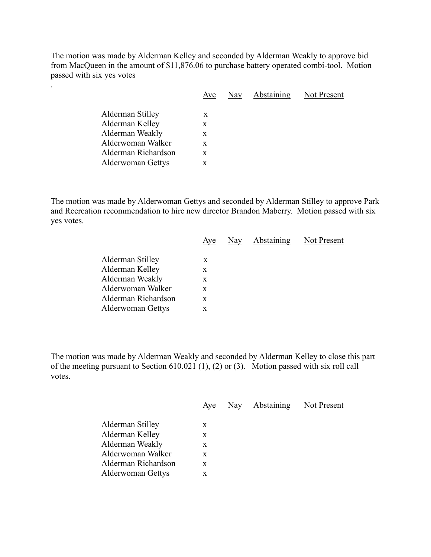The motion was made by Alderman Kelley and seconded by Alderman Weakly to approve bid from MacQueen in the amount of \$11,876.06 to purchase battery operated combi-tool. Motion passed with six yes votes

.

|                          | Aye | Nay | Abstaining Not Present |
|--------------------------|-----|-----|------------------------|
| Alderman Stilley         | X   |     |                        |
|                          |     |     |                        |
| Alderman Kelley          | X   |     |                        |
| Alderman Weakly          | X   |     |                        |
| Alderwoman Walker        | X   |     |                        |
| Alderman Richardson      | X   |     |                        |
| <b>Alderwoman Gettys</b> | X   |     |                        |
|                          |     |     |                        |

The motion was made by Alderwoman Gettys and seconded by Alderman Stilley to approve Park and Recreation recommendation to hire new director Brandon Maberry. Motion passed with six yes votes.

|                          | Aye | Nay Abstaining | Not Present |
|--------------------------|-----|----------------|-------------|
|                          |     |                |             |
| Alderman Stilley         | X   |                |             |
| Alderman Kelley          | X   |                |             |
| Alderman Weakly          | X   |                |             |
| Alderwoman Walker        | X   |                |             |
| Alderman Richardson      | X   |                |             |
| <b>Alderwoman Gettys</b> | x   |                |             |
|                          |     |                |             |

The motion was made by Alderman Weakly and seconded by Alderman Kelley to close this part of the meeting pursuant to Section 610.021 (1), (2) or (3). Motion passed with six roll call votes.

|                          | Aye | Nay | <b>Abstaining</b> | Not Present |
|--------------------------|-----|-----|-------------------|-------------|
| Alderman Stilley         | X   |     |                   |             |
| Alderman Kelley          | X   |     |                   |             |
| Alderman Weakly          | X   |     |                   |             |
| Alderwoman Walker        | X   |     |                   |             |
| Alderman Richardson      | X   |     |                   |             |
| <b>Alderwoman Gettys</b> | X   |     |                   |             |
|                          |     |     |                   |             |